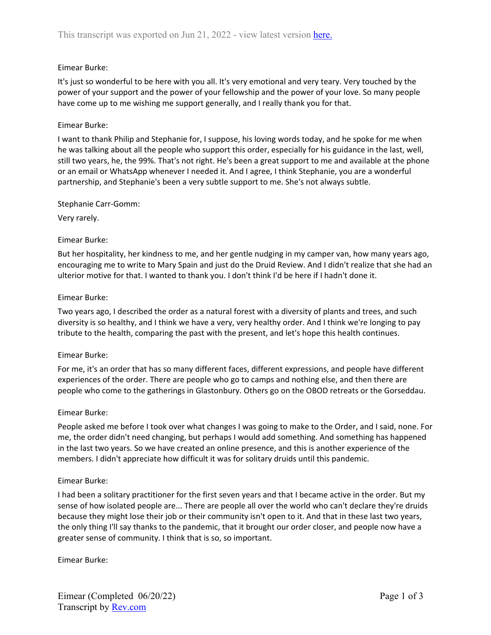## Eimear Burke:

It's just so wonderful to be here with you all. It's very emotional and very teary. Very touched by the power of your support and the power of your fellowship and the power of your love. So many people have come up to me wishing me support generally, and I really thank you for that.

### Eimear Burke:

I want to thank Philip and Stephanie for, I suppose, his loving words today, and he spoke for me when he was talking about all the people who support this order, especially for his guidance in the last, well, still two years, he, the 99%. That's not right. He's been a great support to me and available at the phone or an email or WhatsApp whenever I needed it. And I agree, I think Stephanie, you are a wonderful partnership, and Stephanie's been a very subtle support to me. She's not always subtle.

### Stephanie Carr-Gomm:

Very rarely.

## Eimear Burke:

But her hospitality, her kindness to me, and her gentle nudging in my camper van, how many years ago, encouraging me to write to Mary Spain and just do the Druid Review. And I didn't realize that she had an ulterior motive for that. I wanted to thank you. I don't think I'd be here if I hadn't done it.

### Eimear Burke:

Two years ago, I described the order as a natural forest with a diversity of plants and trees, and such diversity is so healthy, and I think we have a very, very healthy order. And I think we're longing to pay tribute to the health, comparing the past with the present, and let's hope this health continues.

### Eimear Burke:

For me, it's an order that has so many different faces, different expressions, and people have different experiences of the order. There are people who go to camps and nothing else, and then there are people who come to the gatherings in Glastonbury. Others go on the OBOD retreats or the Gorseddau.

### Eimear Burke:

People asked me before I took over what changes I was going to make to the Order, and I said, none. For me, the order didn't need changing, but perhaps I would add something. And something has happened in the last two years. So we have created an online presence, and this is another experience of the members. I didn't appreciate how difficult it was for solitary druids until this pandemic.

### Eimear Burke:

I had been a solitary practitioner for the first seven years and that I became active in the order. But my sense of how isolated people are... There are people all over the world who can't declare they're druids because they might lose their job or their community isn't open to it. And that in these last two years, the only thing I'll say thanks to the pandemic, that it brought our order closer, and people now have a greater sense of community. I think that is so, so important.

Eimear Burke: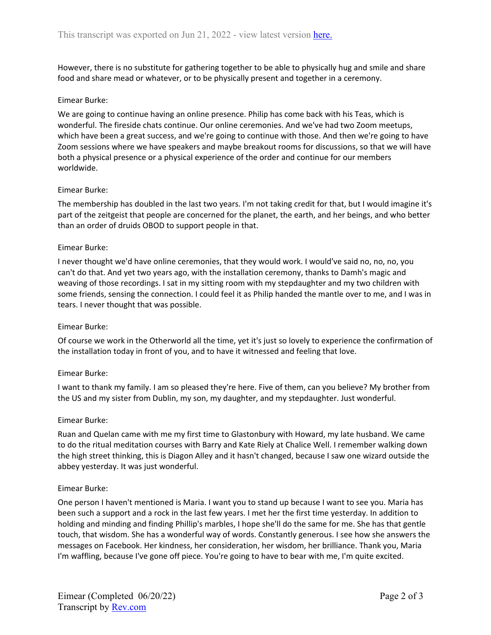However, there is no substitute for gathering together to be able to physically hug and smile and share food and share mead or whatever, or to be physically present and together in a ceremony.

## Eimear Burke:

We are going to continue having an online presence. Philip has come back with his Teas, which is wonderful. The fireside chats continue. Our online ceremonies. And we've had two Zoom meetups, which have been a great success, and we're going to continue with those. And then we're going to have Zoom sessions where we have speakers and maybe breakout rooms for discussions, so that we will have both a physical presence or a physical experience of the order and continue for our members worldwide.

## Eimear Burke:

The membership has doubled in the last two years. I'm not taking credit for that, but I would imagine it's part of the zeitgeist that people are concerned for the planet, the earth, and her beings, and who better than an order of druids OBOD to support people in that.

## Eimear Burke:

I never thought we'd have online ceremonies, that they would work. I would've said no, no, no, you can't do that. And yet two years ago, with the installation ceremony, thanks to Damh's magic and weaving of those recordings. I sat in my sitting room with my stepdaughter and my two children with some friends, sensing the connection. I could feel it as Philip handed the mantle over to me, and I was in tears. I never thought that was possible.

### Eimear Burke:

Of course we work in the Otherworld all the time, yet it's just so lovely to experience the confirmation of the installation today in front of you, and to have it witnessed and feeling that love.

### Eimear Burke:

I want to thank my family. I am so pleased they're here. Five of them, can you believe? My brother from the US and my sister from Dublin, my son, my daughter, and my stepdaughter. Just wonderful.

### Eimear Burke:

Ruan and Quelan came with me my first time to Glastonbury with Howard, my late husband. We came to do the ritual meditation courses with Barry and Kate Riely at Chalice Well. I remember walking down the high street thinking, this is Diagon Alley and it hasn't changed, because I saw one wizard outside the abbey yesterday. It was just wonderful.

### Eimear Burke:

One person I haven't mentioned is Maria. I want you to stand up because I want to see you. Maria has been such a support and a rock in the last few years. I met her the first time yesterday. In addition to holding and minding and finding Phillip's marbles, I hope she'll do the same for me. She has that gentle touch, that wisdom. She has a wonderful way of words. Constantly generous. I see how she answers the messages on Facebook. Her kindness, her consideration, her wisdom, her brilliance. Thank you, Maria I'm waffling, because I've gone off piece. You're going to have to bear with me, I'm quite excited.